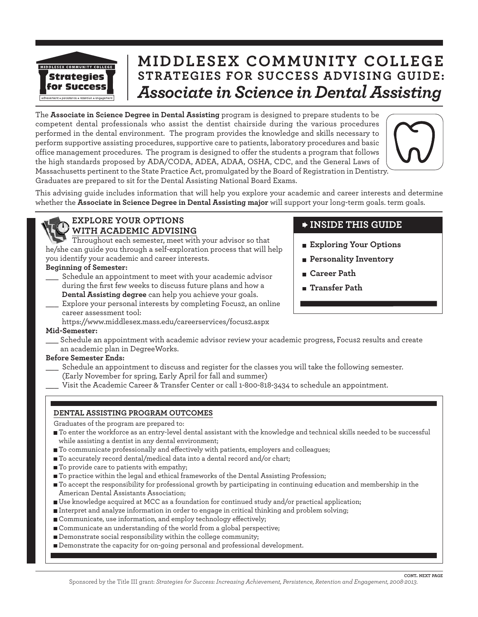

## **MIDDLESEX COMMUNITY COLLEGE STRATEGIES FOR SUCCESS ADVISING GUIDE:** *Associate in Science in Dental Assisting*

The **Associate in Science Degree in Dental Assisting** program is designed to prepare students to be competent dental professionals who assist the dentist chairside during the various procedures performed in the dental environment. The program provides the knowledge and skills necessary to perform supportive assisting procedures, supportive care to patients, laboratory procedures and basic office management procedures. The program is designed to offer the students a program that follows the high standards proposed by ADA/CODA, ADEA, ADAA, OSHA, CDC, and the General Laws of Massachusetts pertinent to the State Practice Act, promulgated by the Board of Registration in Dentistry. Graduates are prepared to sit for the Dental Assisting National Board Exams.



This advising guide includes information that will help you explore your academic and career interests and determine whether the **Associate in Science Degree in Dental Assisting major** will support your long-term goals. term goals.



#### **EXPLORE YOUR OPTIONS WITH ACADEMIC ADVISING**

Throughout each semester, meet with your advisor so that he/she can guide you through a self-exploration process that will help you identify your academic and career interests.

#### **Beginning of Semester:**

- Schedule an appointment to meet with your academic advisor during the first few weeks to discuss future plans and how a **Dental Assisting degree** can help you achieve your goals.
- Explore your personal interests by completing Focus2, an online career assessment tool:

https://www.middlesex.mass.edu/careerservices/focus2.aspx

#### **Mid-Semester:**

\_\_\_ Schedule an appointment with academic advisor review your academic progress, Focus2 results and create an academic plan in DegreeWorks.

#### **Before Semester Ends:**

- Schedule an appointment to discuss and register for the classes you will take the following semester. (Early November for spring, Early April for fall and summer)
- Visit the Academic Career & Transfer Center or call 1-800-818-3434 to schedule an appointment.

#### **DENTAL ASSISTING PROGRAM OUTCOMES**

Graduates of the program are prepared to:

- To enter the workforce as an entry-level dental assistant with the knowledge and technical skills needed to be successful while assisting a dentist in any dental environment;
- To communicate professionally and effectively with patients, employers and colleagues;
- To accurately record dental/medical data into a dental record and/or chart;
- $\blacksquare$  To provide care to patients with empathy;
- To practice within the legal and ethical frameworks of the Dental Assisting Profession;
- To accept the responsibility for professional growth by participating in continuing education and membership in the American Dental Assistants Association;
- Use knowledge acquired at MCC as a foundation for continued study and/or practical application;
- Interpret and analyze information in order to engage in critical thinking and problem solving;
- Communicate, use information, and employ technology effectively;
- Communicate an understanding of the world from a global perspective;
- Demonstrate social responsibility within the college community;
- Demonstrate the capacity for on-going personal and professional development.

### **INSIDE THIS GUIDE**

- **Exploring Your Options**
- **Personality Inventory**
- **Career Path**
- **Transfer Path**

**CONT. NEXT PAGE**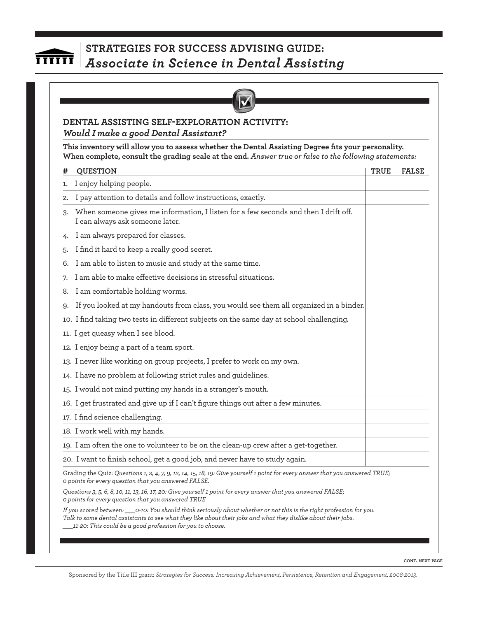# <del>mun</del>

### **STRATEGIES FOR SUCCESS ADVISING GUIDE:**  *Associate in Science in Dental Assisting*



### **DENTAL ASSISTING SELF-EXPLORATION ACTIVITY:** *Would I make a good Dental Assistant?*

**This inventory will allow you to assess whether the Dental Assisting Degree fits your personality. When complete, consult the grading scale at the end.** *Answer true or false to the following statements:*

|    | <b>QUESTION</b>                                                                                                               | <b>TRUE</b> | <b>FALSE</b> |
|----|-------------------------------------------------------------------------------------------------------------------------------|-------------|--------------|
| 1. | I enjoy helping people.                                                                                                       |             |              |
| 2. | I pay attention to details and follow instructions, exactly.                                                                  |             |              |
| 3. | When someone gives me information, I listen for a few seconds and then I drift off.<br>I can always ask someone later.        |             |              |
|    | I am always prepared for classes.                                                                                             |             |              |
| 5. | I find it hard to keep a really good secret.                                                                                  |             |              |
| 6. | I am able to listen to music and study at the same time.                                                                      |             |              |
| 7. | I am able to make effective decisions in stressful situations.                                                                |             |              |
| 8. | I am comfortable holding worms.                                                                                               |             |              |
| 9. | If you looked at my handouts from class, you would see them all organized in a binder.                                        |             |              |
|    | 10. I find taking two tests in different subjects on the same day at school challenging.                                      |             |              |
|    | 11. I get queasy when I see blood.                                                                                            |             |              |
|    | 12. I enjoy being a part of a team sport.                                                                                     |             |              |
|    | 13. I never like working on group projects, I prefer to work on my own.                                                       |             |              |
|    | 14. I have no problem at following strict rules and guidelines.                                                               |             |              |
|    | 15. I would not mind putting my hands in a stranger's mouth.                                                                  |             |              |
|    | 16. I get frustrated and give up if I can't figure things out after a few minutes.                                            |             |              |
|    | 17. I find science challenging.                                                                                               |             |              |
|    | 18. I work well with my hands.                                                                                                |             |              |
|    | 19. I am often the one to volunteer to be on the clean-up crew after a get-together.                                          |             |              |
|    | 20. I want to finish school, get a good job, and never have to study again.                                                   |             |              |
|    | Grading the Quiz: Questions 1, 2, 4, 7, 9, 12, 14, 15, 18, 19: Give yourself 1 point for every answer that you answered TRUE; |             |              |

*Questions 3, 5, 6, 8, 10, 11, 13, 16, 17, 20: Give yourself 1 point for every answer that you answered FALSE; 0 points for every question that you answered TRUE*

*0 points for every question that you answered FALSE.*

*If you scored between: \_\_\_0-10: You should think seriously about whether or not this is the right profession for you. Talk to some dental assistants to see what they like about their jobs and what they dislike about their jobs. \_\_\_11-20: This could be a good profession for you to choose.*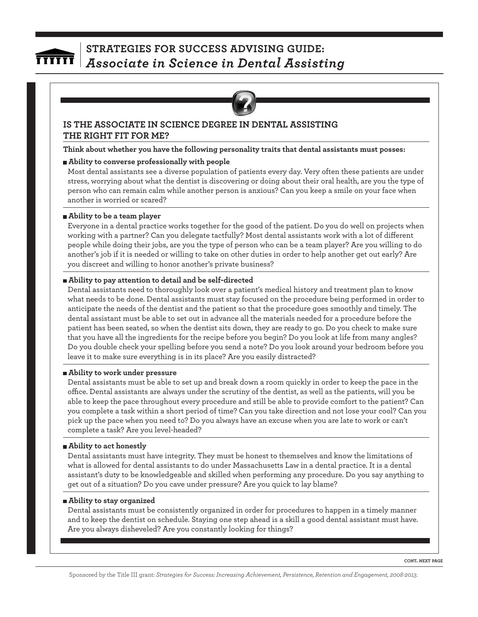

#### **IS THE ASSOCIATE IN SCIENCE DEGREE IN DENTAL ASSISTING THE RIGHT FIT FOR ME?**

**Think about whether you have the following personality traits that dental assistants must posses:**

#### **Ability to converse professionally with people**

Most dental assistants see a diverse population of patients every day. Very often these patients are under stress, worrying about what the dentist is discovering or doing about their oral health, are you the type of person who can remain calm while another person is anxious? Can you keep a smile on your face when another is worried or scared?

#### **Ability to be a team player**

Everyone in a dental practice works together for the good of the patient. Do you do well on projects when working with a partner? Can you delegate tactfully? Most dental assistants work with a lot of different people while doing their jobs, are you the type of person who can be a team player? Are you willing to do another's job if it is needed or willing to take on other duties in order to help another get out early? Are you discreet and willing to honor another's private business?

#### **Ability to pay attention to detail and be self-directed**

Dental assistants need to thoroughly look over a patient's medical history and treatment plan to know what needs to be done. Dental assistants must stay focused on the procedure being performed in order to anticipate the needs of the dentist and the patient so that the procedure goes smoothly and timely. The dental assistant must be able to set out in advance all the materials needed for a procedure before the patient has been seated, so when the dentist sits down, they are ready to go. Do you check to make sure that you have all the ingredients for the recipe before you begin? Do you look at life from many angles? Do you double check your spelling before you send a note? Do you look around your bedroom before you leave it to make sure everything is in its place? Are you easily distracted?

#### **Ability to work under pressure**

Dental assistants must be able to set up and break down a room quickly in order to keep the pace in the office. Dental assistants are always under the scrutiny of the dentist, as well as the patients, will you be able to keep the pace throughout every procedure and still be able to provide comfort to the patient? Can you complete a task within a short period of time? Can you take direction and not lose your cool? Can you pick up the pace when you need to? Do you always have an excuse when you are late to work or can't complete a task? Are you level-headed?

#### **Ability to act honestly**

Dental assistants must have integrity. They must be honest to themselves and know the limitations of what is allowed for dental assistants to do under Massachusetts Law in a dental practice. It is a dental assistant's duty to be knowledgeable and skilled when performing any procedure. Do you say anything to get out of a situation? Do you cave under pressure? Are you quick to lay blame?

#### **Ability to stay organized**

Dental assistants must be consistently organized in order for procedures to happen in a timely manner and to keep the dentist on schedule. Staying one step ahead is a skill a good dental assistant must have. Are you always disheveled? Are you constantly looking for things?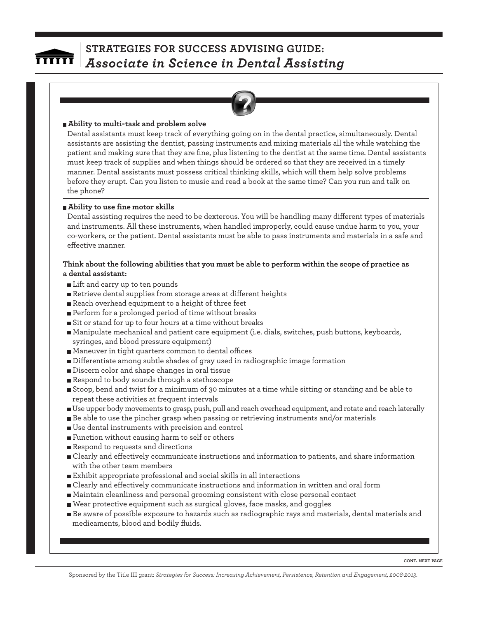

#### **Ability to multi-task and problem solve**

Dental assistants must keep track of everything going on in the dental practice, simultaneously. Dental assistants are assisting the dentist, passing instruments and mixing materials all the while watching the patient and making sure that they are fine, plus listening to the dentist at the same time. Dental assistants must keep track of supplies and when things should be ordered so that they are received in a timely manner. Dental assistants must possess critical thinking skills, which will them help solve problems before they erupt. Can you listen to music and read a book at the same time? Can you run and talk on the phone?

#### **Ability to use fine motor skills**

Dental assisting requires the need to be dexterous. You will be handling many different types of materials and instruments. All these instruments, when handled improperly, could cause undue harm to you, your co-workers, or the patient. Dental assistants must be able to pass instruments and materials in a safe and effective manner.

#### **Think about the following abilities that you must be able to perform within the scope of practice as a dental assistant:**

- Lift and carry up to ten pounds
- Retrieve dental supplies from storage areas at different heights
- Reach overhead equipment to a height of three feet
- Perform for a prolonged period of time without breaks
- Sit or stand for up to four hours at a time without breaks
- Manipulate mechanical and patient care equipment (i.e. dials, switches, push buttons, keyboards, syringes, and blood pressure equipment)
- Maneuver in tight quarters common to dental offices
- Differentiate among subtle shades of gray used in radiographic image formation
- Discern color and shape changes in oral tissue
- Respond to body sounds through a stethoscope
- Stoop, bend and twist for a minimum of 30 minutes at a time while sitting or standing and be able to repeat these activities at frequent intervals
- Use upper body movements to grasp, push, pull and reach overhead equipment, and rotate and reach laterally
- Be able to use the pincher grasp when passing or retrieving instruments and/or materials
- Use dental instruments with precision and control
- Function without causing harm to self or others
- Respond to requests and directions
- Clearly and effectively communicate instructions and information to patients, and share information with the other team members
- Exhibit appropriate professional and social skills in all interactions
- Clearly and effectively communicate instructions and information in written and oral form
- Maintain cleanliness and personal grooming consistent with close personal contact
- Wear protective equipment such as surgical gloves, face masks, and goggles
- Be aware of possible exposure to hazards such as radiographic rays and materials, dental materials and medicaments, blood and bodily fluids.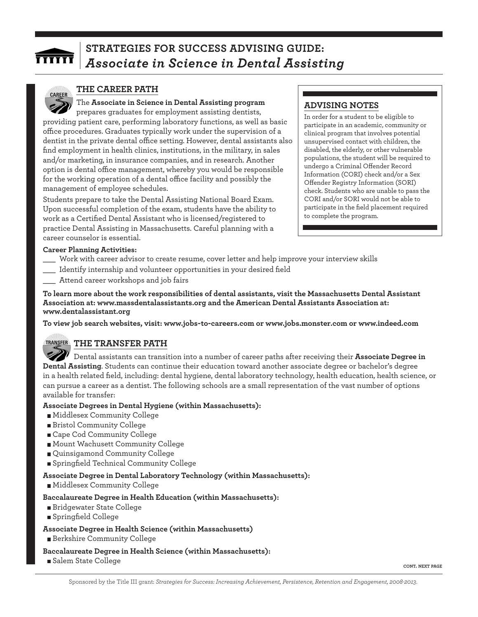

#### **THE CAREER PATH**

### The **Associate in Science in Dental Assisting program**

prepares graduates for employment assisting dentists, providing patient care, performing laboratory functions, as well as basic office procedures. Graduates typically work under the supervision of a dentist in the private dental office setting. However, dental assistants also find employment in health clinics, institutions, in the military, in sales and/or marketing, in insurance companies, and in research. Another option is dental office management, whereby you would be responsible for the working operation of a dental office facility and possibly the management of employee schedules.

Students prepare to take the Dental Assisting National Board Exam. Upon successful completion of the exam, students have the ability to work as a Certified Dental Assistant who is licensed/registered to practice Dental Assisting in Massachusetts. Careful planning with a career counselor is essential.

### **ADVISING NOTES**

In order for a student to be eligible to participate in an academic, community or clinical program that involves potential unsupervised contact with children, the disabled, the elderly, or other vulnerable populations, the student will be required to undergo a Criminal Offender Record Information (CORI) check and/or a Sex Offender Registry Information (SORI) check. Students who are unable to pass the CORI and/or SORI would not be able to participate in the field placement required to complete the program.

#### **Career Planning Activities:**

- Work with career advisor to create resume, cover letter and help improve your interview skills
- Identify internship and volunteer opportunities in your desired field
- Attend career workshops and job fairs

**To learn more about the work responsibilities of dental assistants, visit the Massachusetts Dental Assistant Association at: www.massdentalassistants.org and the American Dental Assistants Association at: www.dentalassistant.org**

**To view job search websites, visit: www.jobs-to-careers.com or www.jobs.monster.com or www.indeed.com**

#### **THE TRANSFER PATH TRANSFER**

Dental assistants can transition into a number of career paths after receiving their **Associate Degree in Dental Assisting**. Students can continue their education toward another associate degree or bachelor's degree in a health related field, including: dental hygiene, dental laboratory technology, health education, health science, or can pursue a career as a dentist. The following schools are a small representation of the vast number of options available for transfer:

#### **Associate Degrees in Dental Hygiene (within Massachusetts):**

- Middlesex Community College
- Bristol Community College
- Cape Cod Community College
- Mount Wachusett Community College
- Quinsigamond Community College
- Springfield Technical Community College

#### **Associate Degree in Dental Laboratory Technology (within Massachusetts):**

Middlesex Community College

#### **Baccalaureate Degree in Health Education (within Massachusetts):**

- Bridgewater State College
- Springfield College
- **Associate Degree in Health Science (within Massachusetts)** Berkshire Community College

#### **Baccalaureate Degree in Health Science (within Massachusetts):**

Salem State College